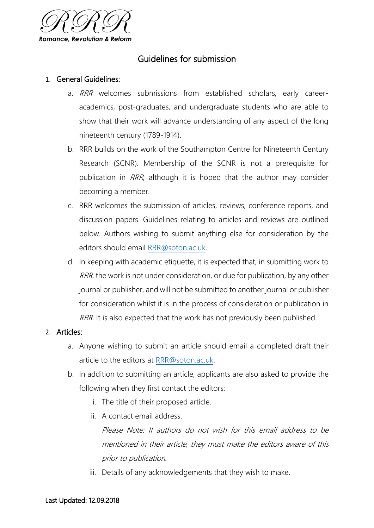

## Guidelines for submission

#### 1. General Guidelines:

- a. RRR welcomes submissions from established scholars, early careeracademics, post-graduates, and undergraduate students who are able to show that their work will advance understanding of any aspect of the long nineteenth century (1789-1914).
- b. RRR builds on the work of the Southampton Centre for Nineteenth Century Research (SCNR). Membership of the SCNR is not a prerequisite for publication in RRR, although it is hoped that the author may consider becoming a member.
- c. RRR welcomes the submission of articles, reviews, conference reports, and discussion papers. Guidelines relating to articles and reviews are outlined below. Authors wishing to submit anything else for consideration by the editors should email [RRR@soton.ac.uk.](mailto:RRR@soton.ac.uk)
- d. In keeping with academic etiquette, it is expected that, in submitting work to RRR, the work is not under consideration, or due for publication, by any other journal or publisher, and will not be submitted to another journal or publisher for consideration whilst it is in the process of consideration or publication in RRR. It is also expected that the work has not previously been published.

#### 2. Articles:

- a. Anyone wishing to submit an article should email a completed draft their article to the editors at [RRR@soton.ac.uk.](mailto:RRR@soton.ac.uk)
- b. In addition to submitting an article, applicants are also asked to provide the following when they first contact the editors:
	- i. The title of their proposed article.
	- ii. A contact email address.

Please Note: If authors do not wish for this email address to be mentioned in their article, they must make the editors aware of this prior to publication.

iii. Details of any acknowledgements that they wish to make.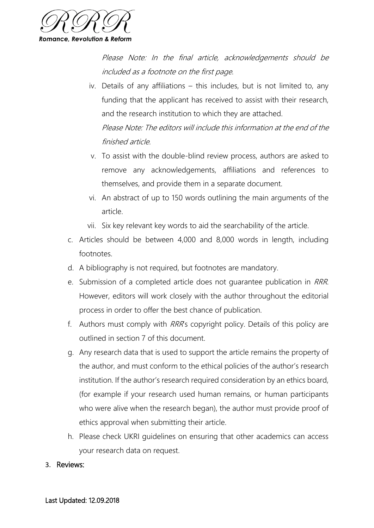

Please Note: In the final article, acknowledgements should be included as a footnote on the first page.

- iv. Details of any affiliations this includes, but is not limited to, any funding that the applicant has received to assist with their research, and the research institution to which they are attached. Please Note: The editors will include this information at the end of the finished article.
- v. To assist with the double-blind review process, authors are asked to remove any acknowledgements, affiliations and references to themselves, and provide them in a separate document.
- vi. An abstract of up to 150 words outlining the main arguments of the article.
- vii. Six key relevant key words to aid the searchability of the article.
- c. Articles should be between 4,000 and 8,000 words in length, including footnotes.
- d. A bibliography is not required, but footnotes are mandatory.
- e. Submission of a completed article does not guarantee publication in RRR. However, editors will work closely with the author throughout the editorial process in order to offer the best chance of publication.
- f. Authors must comply with RRR's copyright policy. Details of this policy are outlined in section 7 of this document.
- g. Any research data that is used to support the article remains the property of the author, and must conform to the ethical policies of the author's research institution. If the author's research required consideration by an ethics board, (for example if your research used human remains, or human participants who were alive when the research began), the author must provide proof of ethics approval when submitting their article.
- h. Please check UKRI guidelines on ensuring that other academics can access your research data on request.
- 3. Reviews: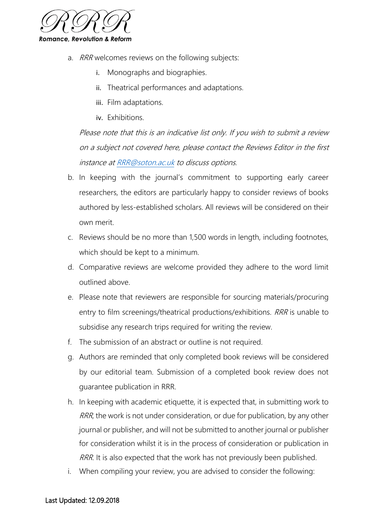

- a. RRR welcomes reviews on the following subjects:
	- i. Monographs and biographies.
	- ii. Theatrical performances and adaptations.
	- iii. Film adaptations.
	- iv. Exhibitions.

Please note that this is an indicative list only. If you wish to submit a review on a subject not covered here, please contact the Reviews Editor in the first instance a[t RRR@soton.ac.uk](mailto:RRR@soton.ac.uk) to discuss options.

- b. In keeping with the journal's commitment to supporting early career researchers, the editors are particularly happy to consider reviews of books authored by less-established scholars. All reviews will be considered on their own merit.
- c. Reviews should be no more than 1,500 words in length, including footnotes, which should be kept to a minimum.
- d. Comparative reviews are welcome provided they adhere to the word limit outlined above.
- e. Please note that reviewers are responsible for sourcing materials/procuring entry to film screenings/theatrical productions/exhibitions. RRR is unable to subsidise any research trips required for writing the review.
- f. The submission of an abstract or outline is not required.
- g. Authors are reminded that only completed book reviews will be considered by our editorial team. Submission of a completed book review does not guarantee publication in RRR.
- h. In keeping with academic etiquette, it is expected that, in submitting work to RRR, the work is not under consideration, or due for publication, by any other journal or publisher, and will not be submitted to another journal or publisher for consideration whilst it is in the process of consideration or publication in RRR. It is also expected that the work has not previously been published.
- i. When compiling your review, you are advised to consider the following: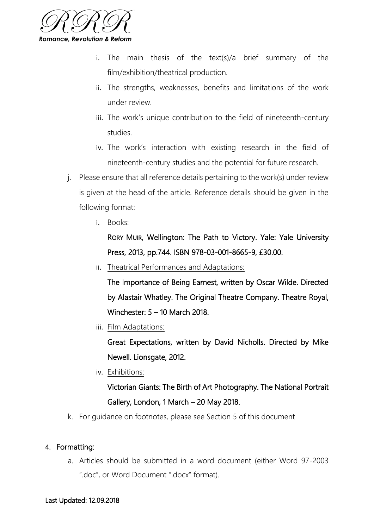

- i. The main thesis of the text(s)/a brief summary of the film/exhibition/theatrical production.
- ii. The strengths, weaknesses, benefits and limitations of the work under review.
- iii. The work's unique contribution to the field of nineteenth-century studies.
- iv. The work's interaction with existing research in the field of nineteenth-century studies and the potential for future research.
- j. Please ensure that all reference details pertaining to the work(s) under review is given at the head of the article. Reference details should be given in the following format:
	- i. Books:

RORY MUIR, Wellington: The Path to Victory. Yale: Yale University Press, 2013, pp.744. ISBN 978-03-001-8665-9, £30.00.

ii. Theatrical Performances and Adaptations:

The Importance of Being Earnest, written by Oscar Wilde. Directed by Alastair Whatley. The Original Theatre Company. Theatre Royal, Winchester: 5 – 10 March 2018.

iii. Film Adaptations:

Great Expectations, written by David Nicholls. Directed by Mike Newell. Lionsgate, 2012.

iv. Exhibitions:

# Victorian Giants: The Birth of Art Photography. The National Portrait Gallery, London, 1 March – 20 May 2018.

k. For guidance on footnotes, please see Section 5 of this document

## 4. Formatting:

a. Articles should be submitted in a word document (either Word 97-2003 ".doc", or Word Document ".docx" format).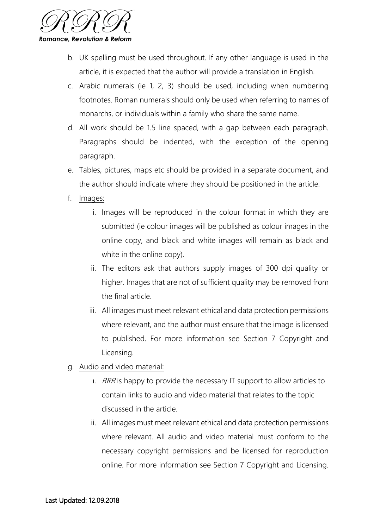

- b. UK spelling must be used throughout. If any other language is used in the article, it is expected that the author will provide a translation in English.
- c. Arabic numerals (ie 1, 2, 3) should be used, including when numbering footnotes. Roman numerals should only be used when referring to names of monarchs, or individuals within a family who share the same name.
- d. All work should be 1.5 line spaced, with a gap between each paragraph. Paragraphs should be indented, with the exception of the opening paragraph.
- e. Tables, pictures, maps etc should be provided in a separate document, and the author should indicate where they should be positioned in the article.
- f. Images:
	- i. Images will be reproduced in the colour format in which they are submitted (ie colour images will be published as colour images in the online copy, and black and white images will remain as black and white in the online copy).
	- ii. The editors ask that authors supply images of 300 dpi quality or higher. Images that are not of sufficient quality may be removed from the final article.
	- iii. All images must meet relevant ethical and data protection permissions where relevant, and the author must ensure that the image is licensed to published. For more information see Section 7 Copyright and Licensing.
- g. Audio and video material:
	- i.  $RRR$  is happy to provide the necessary IT support to allow articles to contain links to audio and video material that relates to the topic discussed in the article.
	- ii. All images must meet relevant ethical and data protection permissions where relevant. All audio and video material must conform to the necessary copyright permissions and be licensed for reproduction online. For more information see Section 7 Copyright and Licensing.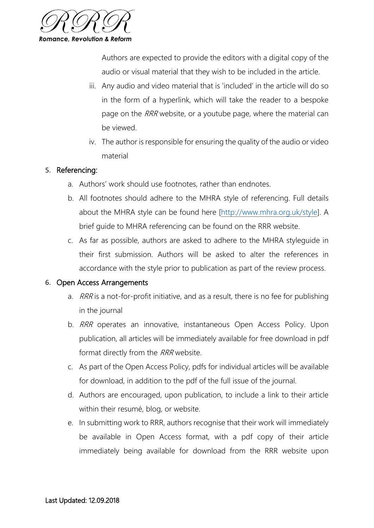

Authors are expected to provide the editors with a digital copy of the audio or visual material that they wish to be included in the article.

- iii. Any audio and video material that is 'included' in the article will do so in the form of a hyperlink, which will take the reader to a bespoke page on the RRR website, or a youtube page, where the material can be viewed.
- iv. The author is responsible for ensuring the quality of the audio or video material

#### 5. Referencing:

- a. Authors' work should use footnotes, rather than endnotes.
- b. All footnotes should adhere to the MHRA style of referencing. Full details about the MHRA style can be found here [\[http://www.mhra.org.uk/style\]](http://www.mhra.org.uk/style). A brief guide to MHRA referencing can be found on the RRR website.
- c. As far as possible, authors are asked to adhere to the MHRA styleguide in their first submission. Authors will be asked to alter the references in accordance with the style prior to publication as part of the review process.

## 6. Open Access Arrangements

- a. RRR is a not-for-profit initiative, and as a result, there is no fee for publishing in the journal
- b. RRR operates an innovative, instantaneous Open Access Policy. Upon publication, all articles will be immediately available for free download in pdf format directly from the RRR website.
- c. As part of the Open Access Policy, pdfs for individual articles will be available for download, in addition to the pdf of the full issue of the journal.
- d. Authors are encouraged, upon publication, to include a link to their article within their resumé, blog, or website.
- e. In submitting work to RRR, authors recognise that their work will immediately be available in Open Access format, with a pdf copy of their article immediately being available for download from the RRR website upon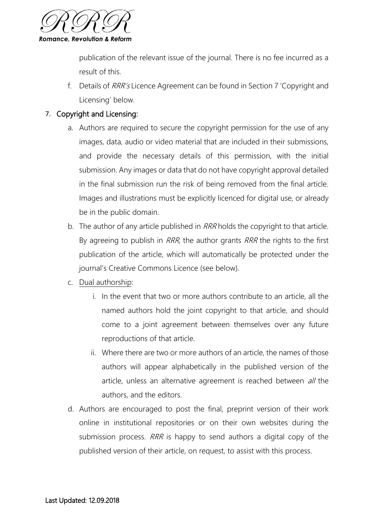

publication of the relevant issue of the journal. There is no fee incurred as a result of this.

f. Details of RRR's Licence Agreement can be found in Section 7 'Copyright and Licensing' below.

## 7. Copyright and Licensing:

- a. Authors are required to secure the copyright permission for the use of any images, data, audio or video material that are included in their submissions, and provide the necessary details of this permission, with the initial submission. Any images or data that do not have copyright approval detailed in the final submission run the risk of being removed from the final article. Images and illustrations must be explicitly licenced for digital use, or already be in the public domain.
- b. The author of any article published in RRR holds the copyright to that article. By agreeing to publish in RRR, the author grants RRR the rights to the first publication of the article, which will automatically be protected under the journal's Creative Commons Licence (see below).
- c. Dual authorship:
	- i. In the event that two or more authors contribute to an article, all the named authors hold the joint copyright to that article, and should come to a joint agreement between themselves over any future reproductions of that article.
	- ii. Where there are two or more authors of an article, the names of those authors will appear alphabetically in the published version of the article, unless an alternative agreement is reached between all the authors, and the editors.
- d. Authors are encouraged to post the final, preprint version of their work online in institutional repositories or on their own websites during the submission process. RRR is happy to send authors a digital copy of the published version of their article, on request, to assist with this process.